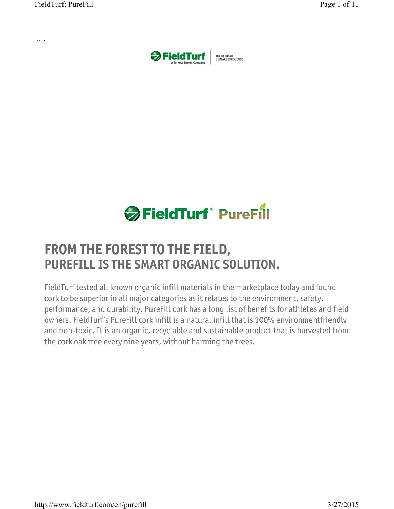$\sim 10^{11}$  and  $\sim 10^{11}$ 



THE ULTIMATE<br>SURFACE EXPERTENCE



### FROM THE FOREST TO THE FIELD, PUREFILL IS THE SMART ORGANIC SOLUTION.

FieldTurf tested all known organic infill materials in the marketplace today and found cork to be superior in all major categories as it relates to the environment, safety, performance, and durability. PureFill cork has a long list of benefits for athletes and field owners. FieldTurf's PureFill cork infill is a natural infill that is 100% environmentfriendly and non-toxic. It is an organic, recyclable and sustainable product that is harvested from the cork oak tree every nine years, without harming the trees.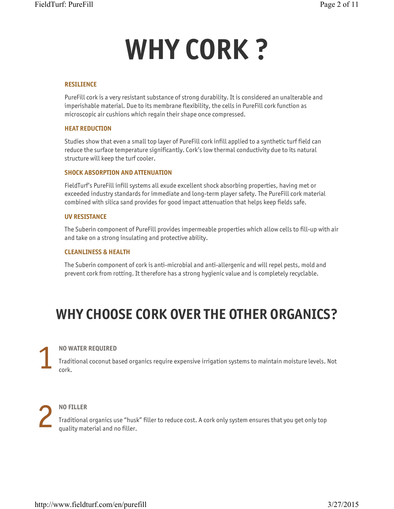## WHY CORK ?

### RESILIENCE

PureFill cork is a very resistant substance of strong durability. It is considered an unalterable and imperishable material. Due to its membrane flexibility, the cells in PureFill cork function as microscopic air cushions which regain their shape once compressed.

### HEAT REDUCTION

Studies show that even a small top layer of PureFill cork infill applied to a synthetic turf field can reduce the surface temperature significantly. Cork's low thermal conductivity due to its natural structure will keep the turf cooler.

#### SHOCK ABSORPTION AND ATTENUATION

FieldTurf's PureFill infill systems all exude excellent shock absorbing properties, having met or exceeded industry standards for immediate and long-term player safety. The PureFill cork material combined with silica sand provides for good impact attenuation that helps keep fields safe.

#### UV RESISTANCE

The Suberin component of PureFill provides impermeable properties which allow cells to fill-up with air and take on a strong insulating and protective ability.

### CLEANLINESS & HEALTH

The Suberin component of cork is anti-microbial and anti-allergenic and will repel pests, mold and prevent cork from rotting. It therefore has a strong hygienic value and is completely recyclable.

### WHY CHOOSE CORK OVER THE OTHER ORGANICS?

### NO WATER REQUIRED

Traditional coconut based organics require expensive irrigation systems to maintain moisture levels. Not cork.

### NO FILLER

Traditional organics use "husk" filler to reduce cost. A cork only system ensures that you get only top quality material and no filler.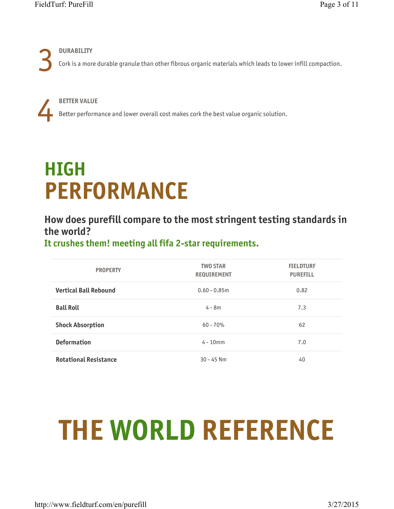**DURABILITY**<br>3 Cork is a more durable granule than other fibrous organic materials which leads to lower infill compaction.

BETTER VALUE<br>Better performance and lower overall cost makes cork the best value organic solution.

## HIGH PERFORMANCE

How does purefill compare to the most stringent testing standards in the world?

It crushes them! meeting all fifa 2-star requirements.

| <b>PROPERTY</b>              | <b>TWO STAR</b><br><b>REQUIREMENT</b> | <b>FIELDTURF</b><br><b>PUREFILL</b> |
|------------------------------|---------------------------------------|-------------------------------------|
| <b>Vertical Ball Rebound</b> | $0.60 - 0.85$ m                       | 0.82                                |
| <b>Ball Roll</b>             | $4 - 8m$                              | 7.3                                 |
| <b>Shock Absorption</b>      | $60 - 70%$                            | 62                                  |
| <b>Deformation</b>           | $4 - 10$ mm                           | 7.0                                 |
| <b>Rotational Resistance</b> | $30 - 45$ Nm                          | 40                                  |

# THE WORLD REFERENCE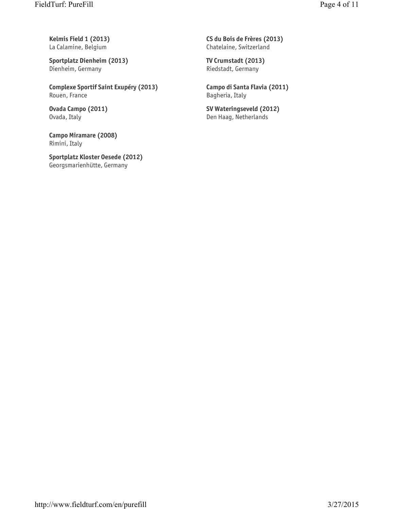Kelmis Field 1 (2013) La Calamine, Belgium

Sportplatz Dienheim (2013) Dienheim, Germany

Complexe Sportif Saint Exupéry (2013) Rouen, France

Ovada Campo (2011) Ovada, Italy

Campo Miramare (2008) Rimini, Italy

Sportplatz Kloster Oesede (2012) Georgsmarienhütte, Germany

CS du Bois de Frères (2013) Chatelaine, Switzerland

TV Crumstadt (2013) Riedstadt, Germany

Campo di Santa Flavia (2011) Bagheria, Italy

SV Wateringseveld (2012) Den Haag, Netherlands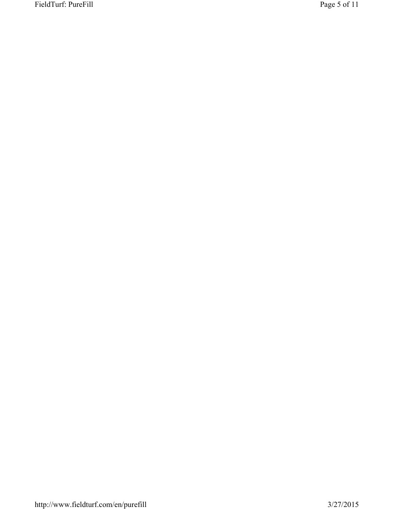FieldTurf: PureFill Page 5 of 11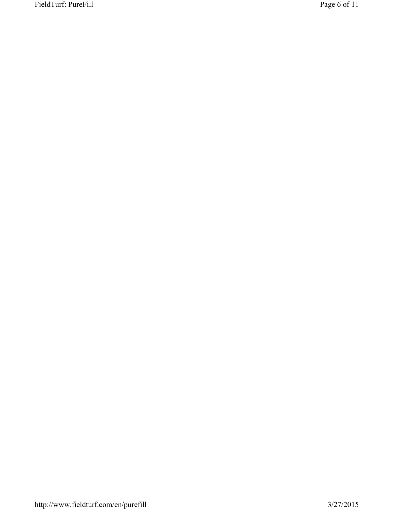FieldTurf: PureFill Page 6 of 11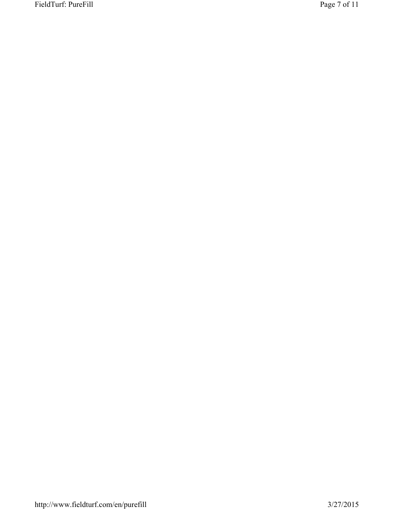FieldTurf: PureFill Page 7 of 11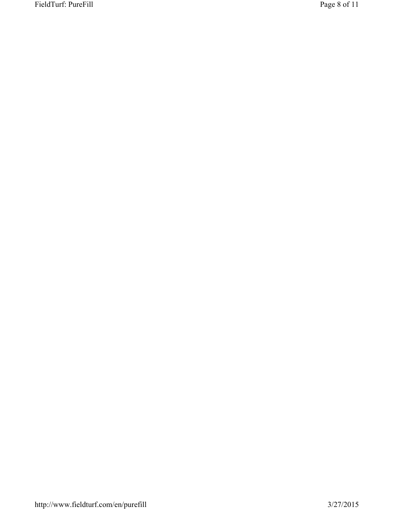FieldTurf: PureFill Page 8 of 11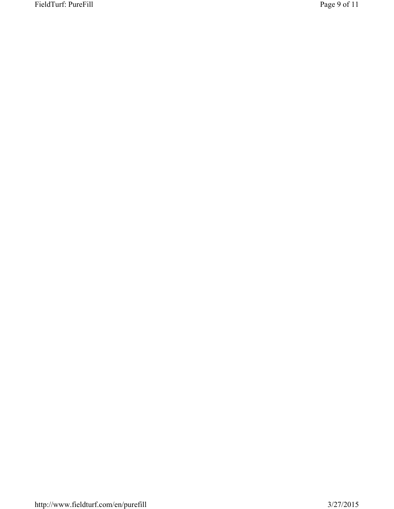FieldTurf: PureFill Page 9 of 11